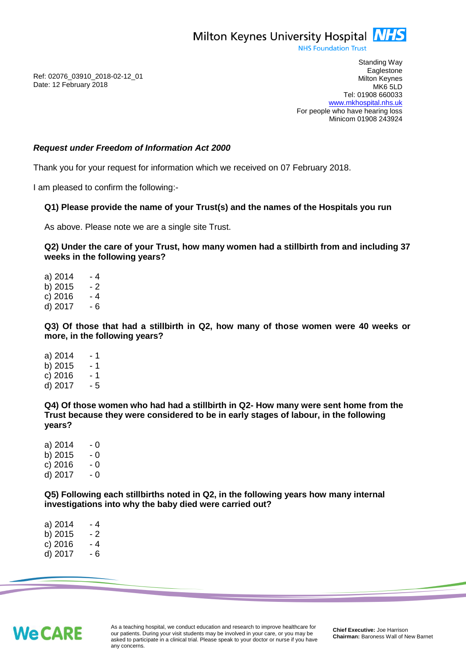

**NHS Foundation Trust** 

Ref: 02076\_03910\_2018-02-12\_01 Date: 12 February 2018

Standing Way **Eaglestone** Milton Keynes MK6 5LD Tel: 01908 660033 [www.mkhospital.nhs.uk](http://www.mkhospital.nhs.uk/) For people who have hearing loss Minicom 01908 243924

#### *Request under Freedom of Information Act 2000*

Thank you for your request for information which we received on 07 February 2018.

I am pleased to confirm the following:-

#### **Q1) Please provide the name of your Trust(s) and the names of the Hospitals you run**

As above. Please note we are a single site Trust.

**Q2) Under the care of your Trust, how many women had a stillbirth from and including 37 weeks in the following years?**

a)  $2014 - 4$ b)  $2015 - 2$  $c)$  2016  $-4$ d) 2017 - 6

**Q3) Of those that had a stillbirth in Q2, how many of those women were 40 weeks or more, in the following years?**

a)  $2014 - 1$ b)  $2015 - 1$  $c)$  2016  $-1$ d) 2017 - 5

**Q4) Of those women who had had a stillbirth in Q2- How many were sent home from the Trust because they were considered to be in early stages of labour, in the following years?**

a)  $2014 - 0$ b)  $2015 - 0$ <br>c)  $2016 - 0$  $c) 2016$ d) 2017 - 0

**Q5) Following each stillbirths noted in Q2, in the following years how many internal investigations into why the baby died were carried out?**

a)  $2014 - 4$ b)  $2015 - 2$ c)  $2016 - 4$ d) 2017 - 6